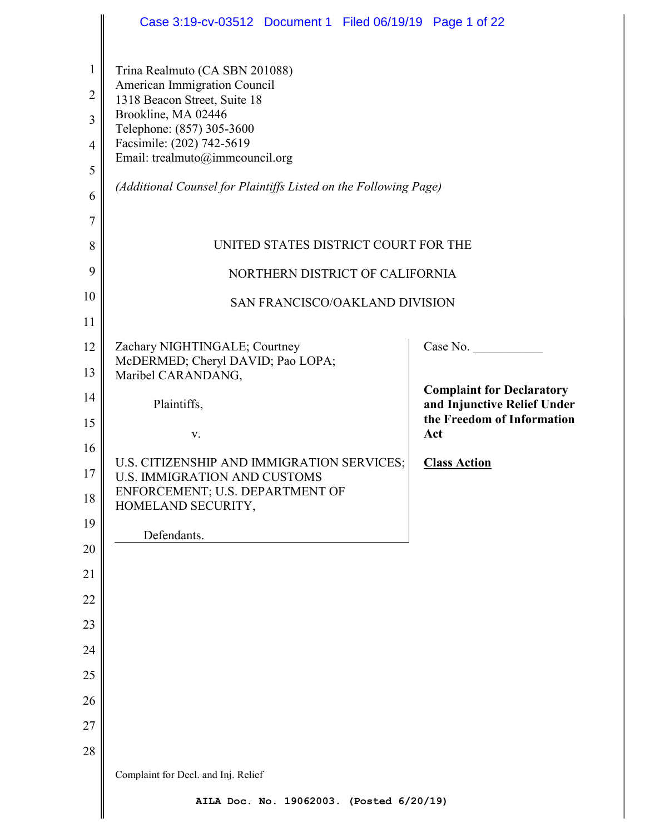|                     | Case 3:19-cv-03512 Document 1 Filed 06/19/19 Page 1 of 22                         |                                                                 |
|---------------------|-----------------------------------------------------------------------------------|-----------------------------------------------------------------|
| $\mathbf{1}$        | Trina Realmuto (CA SBN 201088)<br>American Immigration Council                    |                                                                 |
| $\overline{2}$      | 1318 Beacon Street, Suite 18<br>Brookline, MA 02446                               |                                                                 |
| 3                   | Telephone: (857) 305-3600                                                         |                                                                 |
| $\overline{4}$      | Facsimile: (202) 742-5619<br>Email: trealmuto@immcouncil.org                      |                                                                 |
| 5                   | (Additional Counsel for Plaintiffs Listed on the Following Page)                  |                                                                 |
| 6<br>$\overline{7}$ |                                                                                   |                                                                 |
| 8                   | UNITED STATES DISTRICT COURT FOR THE                                              |                                                                 |
| 9                   | NORTHERN DISTRICT OF CALIFORNIA                                                   |                                                                 |
| 10                  |                                                                                   |                                                                 |
| 11                  | SAN FRANCISCO/OAKLAND DIVISION                                                    |                                                                 |
| 12                  | Zachary NIGHTINGALE; Courtney                                                     | Case No.                                                        |
| 13                  | McDERMED; Cheryl DAVID; Pao LOPA;<br>Maribel CARANDANG,                           |                                                                 |
| 14                  | Plaintiffs,                                                                       | <b>Complaint for Declaratory</b><br>and Injunctive Relief Under |
| 15                  |                                                                                   | the Freedom of Information                                      |
| 16                  | V.                                                                                | Act                                                             |
| 17                  | U.S. CITIZENSHIP AND IMMIGRATION SERVICES;<br><b>U.S. IMMIGRATION AND CUSTOMS</b> | <b>Class Action</b>                                             |
| 18                  | ENFORCEMENT; U.S. DEPARTMENT OF<br>HOMELAND SECURITY,                             |                                                                 |
| 19                  | Defendants.                                                                       |                                                                 |
| 20                  |                                                                                   |                                                                 |
| 21                  |                                                                                   |                                                                 |
| 22                  |                                                                                   |                                                                 |
| 23                  |                                                                                   |                                                                 |
| 24                  |                                                                                   |                                                                 |
| 25                  |                                                                                   |                                                                 |
| 26                  |                                                                                   |                                                                 |
| 27<br>28            |                                                                                   |                                                                 |
|                     | Complaint for Decl. and Inj. Relief                                               |                                                                 |
|                     | AILA Doc. No. 19062003. (Posted 6/20/19)                                          |                                                                 |
|                     |                                                                                   |                                                                 |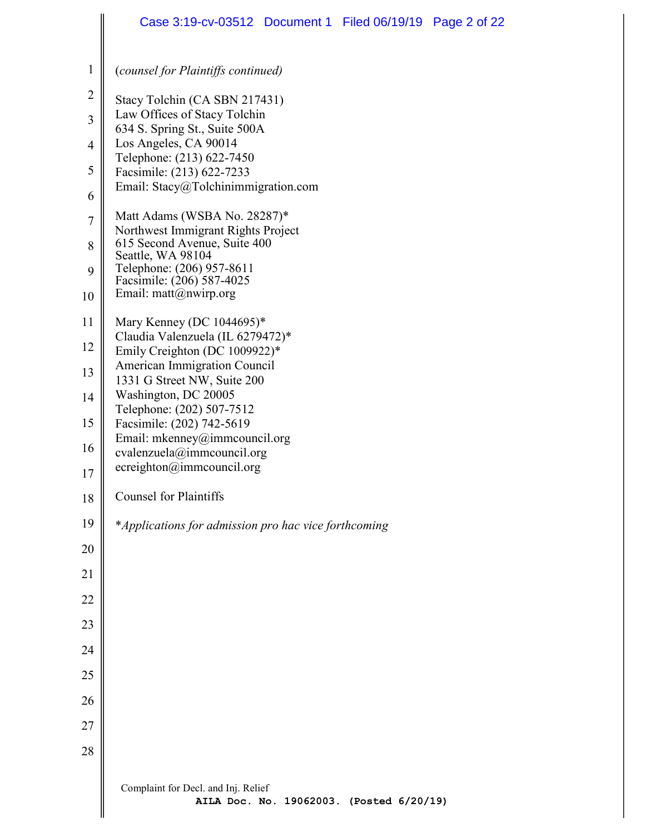|                | Case 3:19-cv-03512 Document 1 Filed 06/19/19 Page 2 of 22                       |
|----------------|---------------------------------------------------------------------------------|
| 1              | (counsel for Plaintiffs continued)                                              |
| $\overline{2}$ | Stacy Tolchin (CA SBN 217431)                                                   |
| 3              | Law Offices of Stacy Tolchin<br>634 S. Spring St., Suite 500A                   |
| $\overline{4}$ | Los Angeles, CA 90014                                                           |
| 5              | Telephone: (213) 622-7450<br>Facsimile: (213) 622-7233                          |
| 6              | Email: Stacy@Tolchinimmigration.com                                             |
| $\overline{7}$ | Matt Adams (WSBA No. 28287)*                                                    |
| 8              | Northwest Immigrant Rights Project<br>615 Second Avenue, Suite 400              |
| 9              | Seattle, WA 98104<br>Telephone: (206) 957-8611<br>Facsimile: (206) 587-4025     |
| 10             | Email: matt@nwirp.org                                                           |
| 11             | Mary Kenney (DC 1044695)*                                                       |
| 12             | Claudia Valenzuela (IL 6279472)*<br>Emily Creighton (DC 1009922)*               |
| 13             | American Immigration Council<br>1331 G Street NW, Suite 200                     |
| 14             | Washington, DC 20005                                                            |
| 15             | Telephone: (202) 507-7512<br>Facsimile: (202) 742-5619                          |
| 16             | Email: mkenney@immcouncil.org<br>cvalenzuela@immcouncil.org                     |
| 17             | ecreighton@immcouncil.org                                                       |
| 18             | <b>Counsel for Plaintiffs</b>                                                   |
| 19             | *Applications for admission pro hac vice forthcoming                            |
| 20             |                                                                                 |
| 21             |                                                                                 |
| 22             |                                                                                 |
| 23             |                                                                                 |
| 24             |                                                                                 |
| 25             |                                                                                 |
| 26             |                                                                                 |
| 27             |                                                                                 |
| 28             |                                                                                 |
|                | Complaint for Decl. and Inj. Relief<br>AILA Doc. No. 19062003. (Posted 6/20/19) |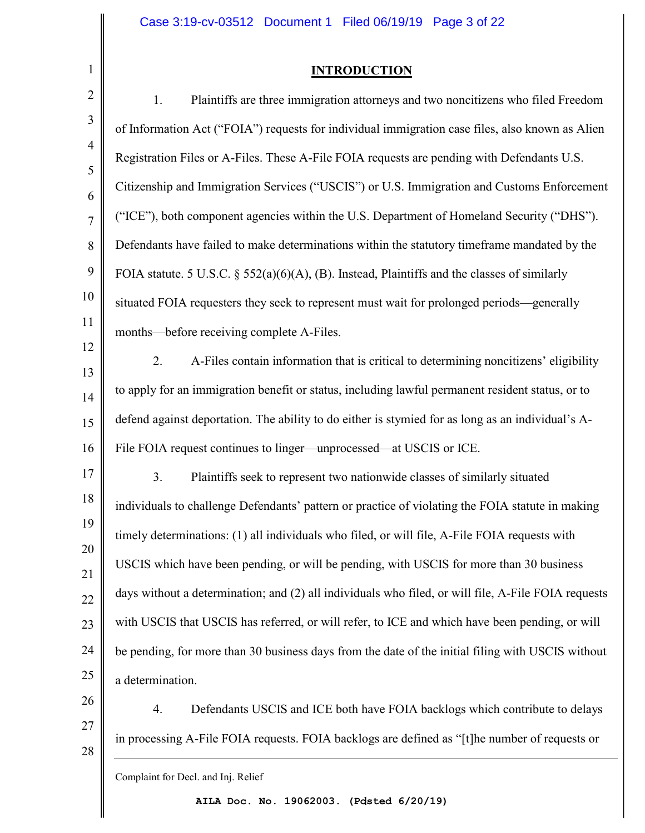# **INTRODUCTION**

| $\overline{2}$ | Plaintiffs are three immigration attorneys and two noncitizens who filed Freedom<br>1.              |
|----------------|-----------------------------------------------------------------------------------------------------|
| 3              | of Information Act ("FOIA") requests for individual immigration case files, also known as Alien     |
| $\overline{4}$ | Registration Files or A-Files. These A-File FOIA requests are pending with Defendants U.S.          |
| 5<br>6         | Citizenship and Immigration Services ("USCIS") or U.S. Immigration and Customs Enforcement          |
| $\overline{7}$ | ("ICE"), both component agencies within the U.S. Department of Homeland Security ("DHS").           |
| 8              | Defendants have failed to make determinations within the statutory timeframe mandated by the        |
| 9              | FOIA statute. 5 U.S.C. $\S$ 552(a)(6)(A), (B). Instead, Plaintiffs and the classes of similarly     |
| 10             | situated FOIA requesters they seek to represent must wait for prolonged periods—generally           |
| 11             | months—before receiving complete A-Files.                                                           |
| 12             | A-Files contain information that is critical to determining noncitizens' eligibility<br>2.          |
| 13             | to apply for an immigration benefit or status, including lawful permanent resident status, or to    |
| 14<br>15       | defend against deportation. The ability to do either is stymied for as long as an individual's A-   |
| 16             | File FOIA request continues to linger—unprocessed—at USCIS or ICE.                                  |
| 17             | 3.                                                                                                  |
| 18             | Plaintiffs seek to represent two nationwide classes of similarly situated                           |
|                | individuals to challenge Defendants' pattern or practice of violating the FOIA statute in making    |
| 19             | timely determinations: (1) all individuals who filed, or will file, A-File FOIA requests with       |
| 20             | USCIS which have been pending, or will be pending, with USCIS for more than 30 business             |
| 21<br>22       | days without a determination; and (2) all individuals who filed, or will file, A-File FOIA requests |
| 23             | with USCIS that USCIS has referred, or will refer, to ICE and which have been pending, or will      |
| 24             | be pending, for more than 30 business days from the date of the initial filing with USCIS without   |
| 25             |                                                                                                     |
|                | a determination.                                                                                    |
| 26             | Defendants USCIS and ICE both have FOIA backlogs which contribute to delays<br>4.                   |

in processing A-File FOIA requests. FOIA backlogs are defined as "[t]he number of requests or

Complaint for Decl. and Inj. Relief

27

28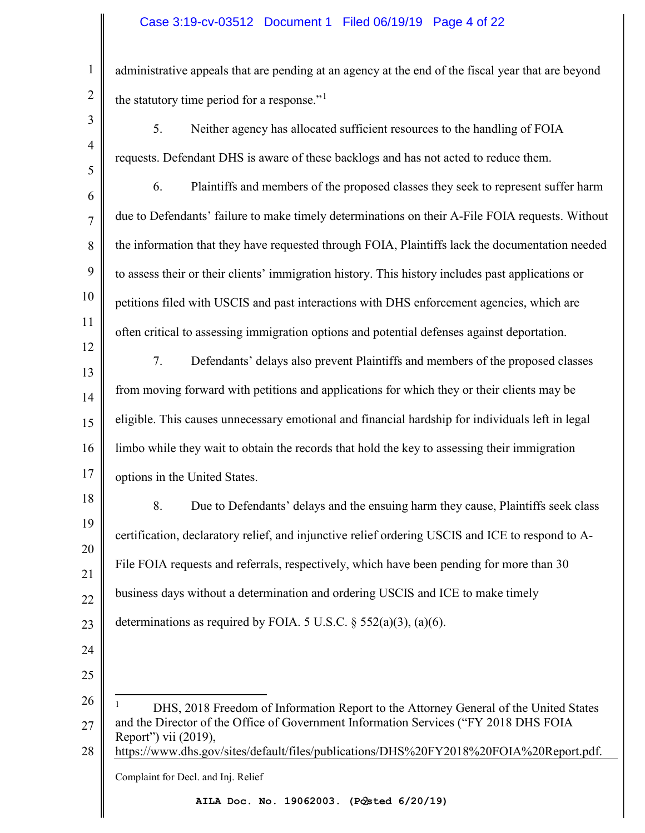### Case 3:19-cv-03512 Document 1 Filed 06/19/19 Page 4 of 22

administrative appeals that are pending at an agency at the end of the fiscal year that are beyond the statutory time period for a response." $1$ 

3 4 5

12

1

2

5. Neither agency has allocated sufficient resources to the handling of FOIA requests. Defendant DHS is aware of these backlogs and has not acted to reduce them.

6 7 8 9 10 11 6. Plaintiffs and members of the proposed classes they seek to represent suffer harm due to Defendants' failure to make timely determinations on their A-File FOIA requests. Without the information that they have requested through FOIA, Plaintiffs lack the documentation needed to assess their or their clients' immigration history. This history includes past applications or petitions filed with USCIS and past interactions with DHS enforcement agencies, which are often critical to assessing immigration options and potential defenses against deportation.

13 14 15 16 17 7. Defendants' delays also prevent Plaintiffs and members of the proposed classes from moving forward with petitions and applications for which they or their clients may be eligible. This causes unnecessary emotional and financial hardship for individuals left in legal limbo while they wait to obtain the records that hold the key to assessing their immigration options in the United States.

18 19 20 21 22 23 8. Due to Defendants' delays and the ensuing harm they cause, Plaintiffs seek class certification, declaratory relief, and injunctive relief ordering USCIS and ICE to respond to A-File FOIA requests and referrals, respectively, which have been pending for more than 30 business days without a determination and ordering USCIS and ICE to make timely determinations as required by FOIA. 5 U.S.C.  $\S$  552(a)(3), (a)(6).

- 24
- 25

<span id="page-3-0"></span>26 27 -1 DHS, 2018 Freedom of Information Report to the Attorney General of the United States and the Director of the Office of Government Information Services ("FY 2018 DHS FOIA Report") vii (2019), https://www.dhs.gov/sites/default/files/publications/DHS%20FY2018%20FOIA%20Report.pdf.

28

Complaint for Decl. and Inj. Relief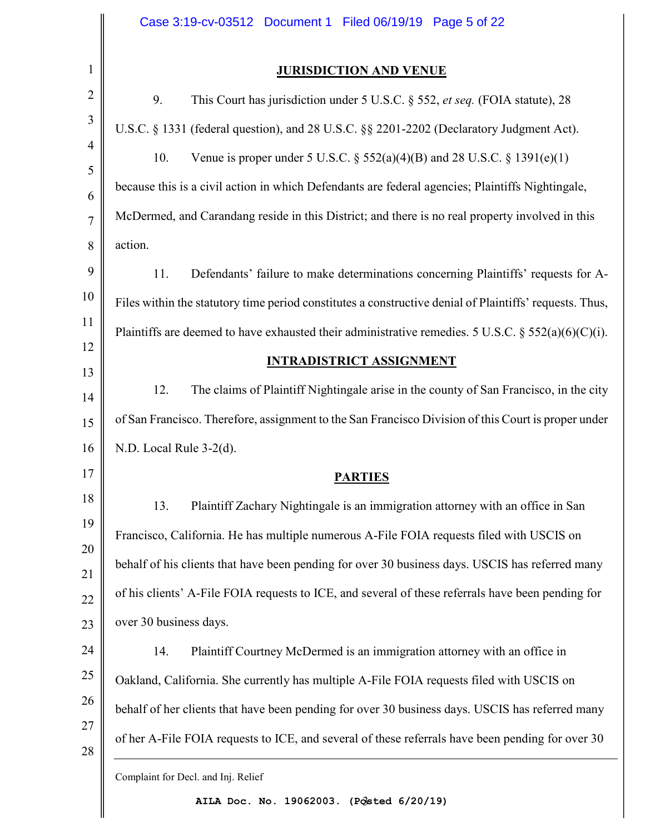|                | Case 3:19-cv-03512 Document 1 Filed 06/19/19 Page 5 of 22                                               |
|----------------|---------------------------------------------------------------------------------------------------------|
| $\mathbf{1}$   | <b>JURISDICTION AND VENUE</b>                                                                           |
| $\overline{2}$ | 9.<br>This Court has jurisdiction under 5 U.S.C. § 552, et seq. (FOIA statute), 28                      |
| 3              | U.S.C. § 1331 (federal question), and 28 U.S.C. §§ 2201-2202 (Declaratory Judgment Act).                |
|                | 10.<br>Venue is proper under 5 U.S.C. $\S 552(a)(4)(B)$ and 28 U.S.C. $\S 1391(e)(1)$                   |
|                | because this is a civil action in which Defendants are federal agencies; Plaintiffs Nightingale,        |
|                | McDermed, and Carandang reside in this District; and there is no real property involved in this         |
|                | action.                                                                                                 |
|                | 11.<br>Defendants' failure to make determinations concerning Plaintiffs' requests for A-                |
|                | Files within the statutory time period constitutes a constructive denial of Plaintiffs' requests. Thus, |
|                | Plaintiffs are deemed to have exhausted their administrative remedies. 5 U.S.C. § 552(a)(6)(C)(i).      |
|                | <b>INTRADISTRICT ASSIGNMENT</b>                                                                         |
|                | The claims of Plaintiff Nightingale arise in the county of San Francisco, in the city<br>12.            |
|                | of San Francisco. Therefore, assignment to the San Francisco Division of this Court is proper under     |
|                | N.D. Local Rule 3-2(d).                                                                                 |
|                | <b>PARTIES</b>                                                                                          |
|                | 13.<br>Plaintiff Zachary Nightingale is an immigration attorney with an office in San                   |
|                | Francisco, California. He has multiple numerous A-File FOIA requests filed with USCIS on                |
|                | behalf of his clients that have been pending for over 30 business days. USCIS has referred many         |
|                | of his clients' A-File FOIA requests to ICE, and several of these referrals have been pending for       |
|                | over 30 business days.                                                                                  |
|                | Plaintiff Courtney McDermed is an immigration attorney with an office in<br>14.                         |
|                | Oakland, California. She currently has multiple A-File FOIA requests filed with USCIS on                |
|                | behalf of her clients that have been pending for over 30 business days. USCIS has referred many         |
|                | of her A-File FOIA requests to ICE, and several of these referrals have been pending for over 30        |
|                | Complaint for Decl. and Inj. Relief                                                                     |

3 **AILA Doc. No. 19062003. (Posted 6/20/19)**

 $\parallel$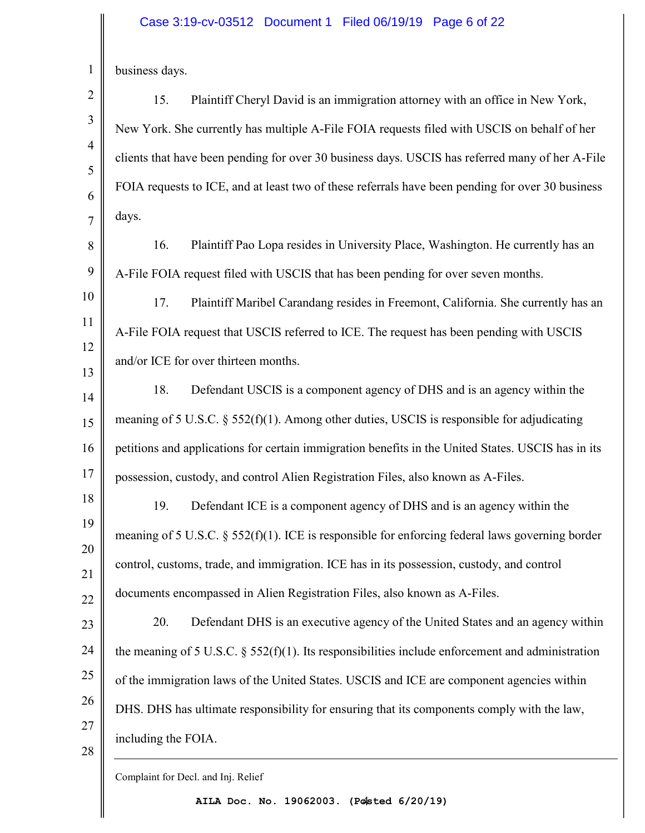#### Case 3:19-cv-03512 Document 1 Filed 06/19/19 Page 6 of 22

business days.

1

2

3

4

5

6

7

15. Plaintiff Cheryl David is an immigration attorney with an office in New York, New York. She currently has multiple A-File FOIA requests filed with USCIS on behalf of her clients that have been pending for over 30 business days. USCIS has referred many of her A-File FOIA requests to ICE, and at least two of these referrals have been pending for over 30 business days.

8 9 16. Plaintiff Pao Lopa resides in University Place, Washington. He currently has an A-File FOIA request filed with USCIS that has been pending for over seven months.

10 11 12 13 17. Plaintiff Maribel Carandang resides in Freemont, California. She currently has an A-File FOIA request that USCIS referred to ICE. The request has been pending with USCIS and/or ICE for over thirteen months.

14 15 16 17 18. Defendant USCIS is a component agency of DHS and is an agency within the meaning of 5 U.S.C.  $\S$  552(f)(1). Among other duties, USCIS is responsible for adjudicating petitions and applications for certain immigration benefits in the United States. USCIS has in its possession, custody, and control Alien Registration Files, also known as A-Files.

18 19 20 21 22 19. Defendant ICE is a component agency of DHS and is an agency within the meaning of 5 U.S.C.  $\S 52( f)(1)$ . ICE is responsible for enforcing federal laws governing border control, customs, trade, and immigration. ICE has in its possession, custody, and control documents encompassed in Alien Registration Files, also known as A-Files.

23 24 25 26 27 20. Defendant DHS is an executive agency of the United States and an agency within the meaning of 5 U.S.C.  $\frac{552(f)(1)}{1}$ . Its responsibilities include enforcement and administration of the immigration laws of the United States. USCIS and ICE are component agencies within DHS. DHS has ultimate responsibility for ensuring that its components comply with the law, including the FOIA.

28

Complaint for Decl. and Inj. Relief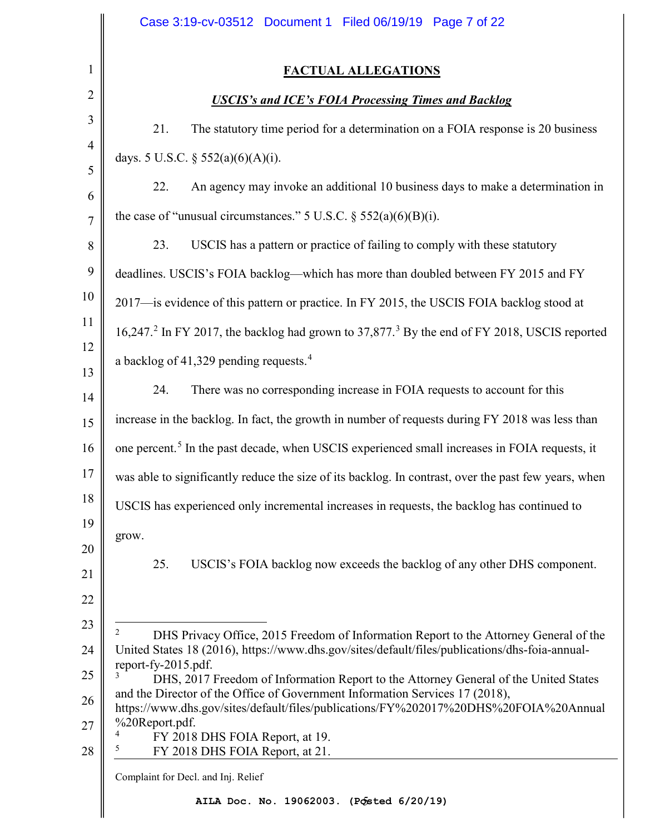<span id="page-6-3"></span><span id="page-6-2"></span><span id="page-6-1"></span><span id="page-6-0"></span>

|                                  | Case 3:19-cv-03512 Document 1 Filed 06/19/19 Page 7 of 22                                                                                                                                                                                                                                                                                                                                                                                                                                                                                                                   |
|----------------------------------|-----------------------------------------------------------------------------------------------------------------------------------------------------------------------------------------------------------------------------------------------------------------------------------------------------------------------------------------------------------------------------------------------------------------------------------------------------------------------------------------------------------------------------------------------------------------------------|
| 1                                | <b>FACTUAL ALLEGATIONS</b>                                                                                                                                                                                                                                                                                                                                                                                                                                                                                                                                                  |
| $\overline{2}$                   | <b>USCIS's and ICE's FOIA Processing Times and Backlog</b>                                                                                                                                                                                                                                                                                                                                                                                                                                                                                                                  |
| 3                                | 21.<br>The statutory time period for a determination on a FOIA response is 20 business                                                                                                                                                                                                                                                                                                                                                                                                                                                                                      |
| $\overline{4}$                   | days. 5 U.S.C. $\S$ 552(a)(6)(A)(i).                                                                                                                                                                                                                                                                                                                                                                                                                                                                                                                                        |
| 5<br>6                           | An agency may invoke an additional 10 business days to make a determination in<br>22.                                                                                                                                                                                                                                                                                                                                                                                                                                                                                       |
| $\overline{7}$                   | the case of "unusual circumstances." 5 U.S.C. $\S$ 552(a)(6)(B)(i).                                                                                                                                                                                                                                                                                                                                                                                                                                                                                                         |
| 8                                | USCIS has a pattern or practice of failing to comply with these statutory<br>23.                                                                                                                                                                                                                                                                                                                                                                                                                                                                                            |
| 9                                | deadlines. USCIS's FOIA backlog-which has more than doubled between FY 2015 and FY                                                                                                                                                                                                                                                                                                                                                                                                                                                                                          |
| 10                               | 2017—is evidence of this pattern or practice. In FY 2015, the USCIS FOIA backlog stood at                                                                                                                                                                                                                                                                                                                                                                                                                                                                                   |
| 11                               | 16,247. <sup>2</sup> In FY 2017, the backlog had grown to 37,877. <sup>3</sup> By the end of FY 2018, USCIS reported                                                                                                                                                                                                                                                                                                                                                                                                                                                        |
| 12<br>13                         | a backlog of 41,329 pending requests. <sup>4</sup>                                                                                                                                                                                                                                                                                                                                                                                                                                                                                                                          |
| 14                               | There was no corresponding increase in FOIA requests to account for this<br>24.                                                                                                                                                                                                                                                                                                                                                                                                                                                                                             |
| 15                               | increase in the backlog. In fact, the growth in number of requests during FY 2018 was less than                                                                                                                                                                                                                                                                                                                                                                                                                                                                             |
| 16                               | one percent. <sup>5</sup> In the past decade, when USCIS experienced small increases in FOIA requests, it                                                                                                                                                                                                                                                                                                                                                                                                                                                                   |
| 17                               | was able to significantly reduce the size of its backlog. In contrast, over the past few years, when                                                                                                                                                                                                                                                                                                                                                                                                                                                                        |
| 18                               | USCIS has experienced only incremental increases in requests, the backlog has continued to                                                                                                                                                                                                                                                                                                                                                                                                                                                                                  |
| 19<br>20<br>21<br>22             | grow.<br>25.<br>USCIS's FOIA backlog now exceeds the backlog of any other DHS component.                                                                                                                                                                                                                                                                                                                                                                                                                                                                                    |
| 23<br>24<br>25<br>26<br>27<br>28 | 2<br>DHS Privacy Office, 2015 Freedom of Information Report to the Attorney General of the<br>United States 18 (2016), https://www.dhs.gov/sites/default/files/publications/dhs-foia-annual-<br>report-fy-2015.pdf.<br>DHS, 2017 Freedom of Information Report to the Attorney General of the United States<br>and the Director of the Office of Government Information Services 17 (2018),<br>https://www.dhs.gov/sites/default/files/publications/FY%202017%20DHS%20FOIA%20Annual<br>%20Report.pdf.<br>FY 2018 DHS FOIA Report, at 19.<br>FY 2018 DHS FOIA Report, at 21. |
|                                  | Complaint for Decl. and Inj. Relief                                                                                                                                                                                                                                                                                                                                                                                                                                                                                                                                         |
|                                  | AILA Doc. No. 19062003. (Posted 6/20/19)                                                                                                                                                                                                                                                                                                                                                                                                                                                                                                                                    |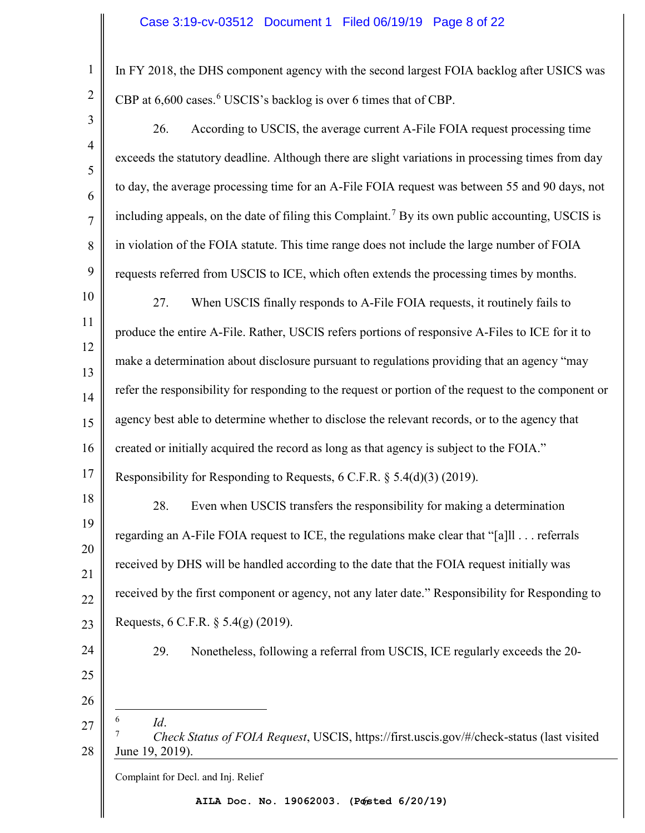1

2

In FY 2018, the DHS component agency with the second largest FOIA backlog after USICS was CBP at [6](#page-7-0),600 cases.<sup>6</sup> USCIS's backlog is over 6 times that of CBP.

<span id="page-7-1"></span><span id="page-7-0"></span>Complaint for Decl. and Inj. Relief 6 **AILA Doc. No. 19062003. (Posted 6/20/19)**3 4 5 6 7 8 9 10 11 12 13 14 15 16 17 18 19 20 21 22 23 24 25 26 27 28 26. According to USCIS, the average current A-File FOIA request processing time exceeds the statutory deadline. Although there are slight variations in processing times from day to day, the average processing time for an A-File FOIA request was between 55 and 90 days, not including appeals, on the date of filing this Complaint.<sup>[7](#page-7-1)</sup> By its own public accounting, USCIS is in violation of the FOIA statute. This time range does not include the large number of FOIA requests referred from USCIS to ICE, which often extends the processing times by months. 27. When USCIS finally responds to A-File FOIA requests, it routinely fails to produce the entire A-File. Rather, USCIS refers portions of responsive A-Files to ICE for it to make a determination about disclosure pursuant to regulations providing that an agency "may refer the responsibility for responding to the request or portion of the request to the component or agency best able to determine whether to disclose the relevant records, or to the agency that created or initially acquired the record as long as that agency is subject to the FOIA." Responsibility for Responding to Requests, 6 C.F.R. § 5.4(d)(3) (2019). 28. Even when USCIS transfers the responsibility for making a determination regarding an A-File FOIA request to ICE, the regulations make clear that "[a]ll . . . referrals received by DHS will be handled according to the date that the FOIA request initially was received by the first component or agency, not any later date." Responsibility for Responding to Requests, 6 C.F.R. § 5.4(g) (2019). 29. Nonetheless, following a referral from USCIS, ICE regularly exceeds the 20- -6  $Id.$  *Check Status of FOIA Request*, USCIS, https://first.uscis.gov/#/check-status (last visited June 19, 2019).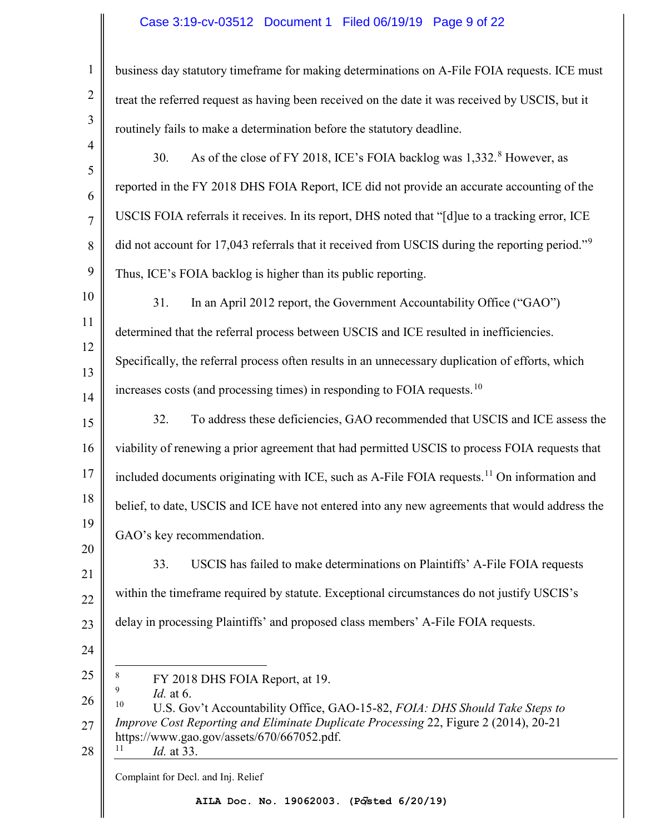# Case 3:19-cv-03512 Document 1 Filed 06/19/19 Page 9 of 22

<span id="page-8-3"></span><span id="page-8-2"></span><span id="page-8-1"></span><span id="page-8-0"></span>

| 1              | business day statutory timeframe for making determinations on A-File FOIA requests. ICE must                                                                                                                                                                                |
|----------------|-----------------------------------------------------------------------------------------------------------------------------------------------------------------------------------------------------------------------------------------------------------------------------|
| $\overline{2}$ | treat the referred request as having been received on the date it was received by USCIS, but it                                                                                                                                                                             |
| 3              | routinely fails to make a determination before the statutory deadline.                                                                                                                                                                                                      |
| $\overline{4}$ | As of the close of FY 2018, ICE's FOIA backlog was 1,332. <sup>8</sup> However, as<br>30.                                                                                                                                                                                   |
| 5<br>6         | reported in the FY 2018 DHS FOIA Report, ICE did not provide an accurate accounting of the                                                                                                                                                                                  |
| $\overline{7}$ | USCIS FOIA referrals it receives. In its report, DHS noted that "[d]ue to a tracking error, ICE                                                                                                                                                                             |
| 8              | did not account for 17,043 referrals that it received from USCIS during the reporting period." <sup>9</sup>                                                                                                                                                                 |
| 9              | Thus, ICE's FOIA backlog is higher than its public reporting.                                                                                                                                                                                                               |
| 10             | In an April 2012 report, the Government Accountability Office ("GAO")<br>31.                                                                                                                                                                                                |
| 11             | determined that the referral process between USCIS and ICE resulted in inefficiencies.                                                                                                                                                                                      |
| 12             | Specifically, the referral process often results in an unnecessary duplication of efforts, which                                                                                                                                                                            |
| 13<br>14       | increases costs (and processing times) in responding to FOIA requests. <sup>10</sup>                                                                                                                                                                                        |
| 15             | To address these deficiencies, GAO recommended that USCIS and ICE assess the<br>32.                                                                                                                                                                                         |
| 16             | viability of renewing a prior agreement that had permitted USCIS to process FOIA requests that                                                                                                                                                                              |
| 17             | included documents originating with ICE, such as A-File FOIA requests. <sup>11</sup> On information and                                                                                                                                                                     |
| 18             | belief, to date, USCIS and ICE have not entered into any new agreements that would address the                                                                                                                                                                              |
| 19             | GAO's key recommendation.                                                                                                                                                                                                                                                   |
| 20             | USCIS has failed to make determinations on Plaintiffs' A-File FOIA requests<br>33.                                                                                                                                                                                          |
| 21             | within the timeframe required by statute. Exceptional circumstances do not justify USCIS's                                                                                                                                                                                  |
| 22<br>23       | delay in processing Plaintiffs' and proposed class members' A-File FOIA requests.                                                                                                                                                                                           |
| 24             |                                                                                                                                                                                                                                                                             |
| 25             | 8<br>FY 2018 DHS FOIA Report, at 19.                                                                                                                                                                                                                                        |
| 26<br>27<br>28 | 9<br><i>Id.</i> at 6.<br>10<br>U.S. Gov't Accountability Office, GAO-15-82, FOIA: DHS Should Take Steps to<br>Improve Cost Reporting and Eliminate Duplicate Processing 22, Figure 2 (2014), 20-21<br>https://www.gao.gov/assets/670/667052.pdf.<br>11<br><i>Id.</i> at 33. |
|                | Complaint for Decl. and Inj. Relief                                                                                                                                                                                                                                         |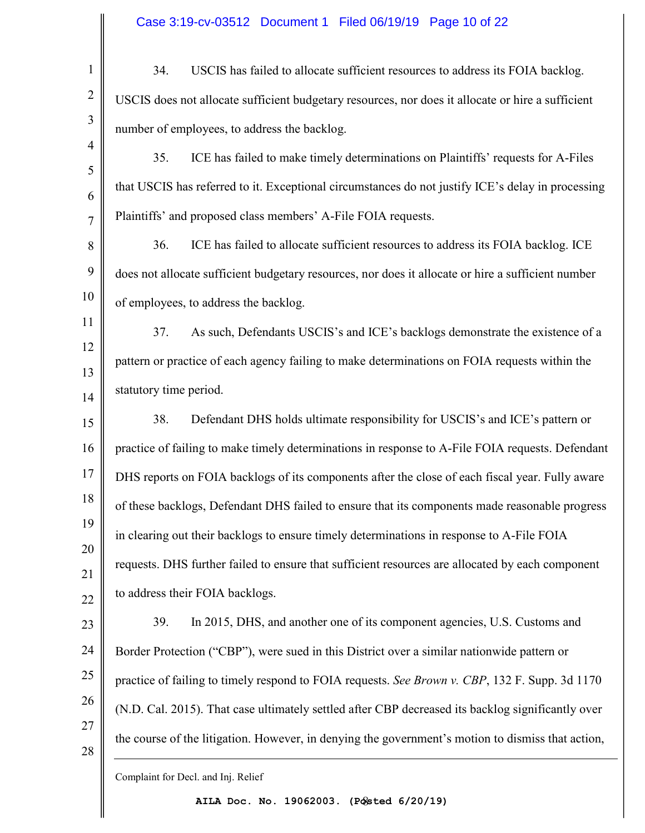| $\mathbf{1}$   | USCIS has failed to allocate sufficient resources to address its FOIA backlog.<br>34.              |
|----------------|----------------------------------------------------------------------------------------------------|
| $\overline{2}$ | USCIS does not allocate sufficient budgetary resources, nor does it allocate or hire a sufficient  |
| 3              | number of employees, to address the backlog.                                                       |
| $\overline{4}$ | ICE has failed to make timely determinations on Plaintiffs' requests for A-Files<br>35.            |
| 5              | that USCIS has referred to it. Exceptional circumstances do not justify ICE's delay in processing  |
| 6<br>7         | Plaintiffs' and proposed class members' A-File FOIA requests.                                      |
| 8              | ICE has failed to allocate sufficient resources to address its FOIA backlog. ICE<br>36.            |
| 9              | does not allocate sufficient budgetary resources, nor does it allocate or hire a sufficient number |
| 10             | of employees, to address the backlog.                                                              |
| 11             | As such, Defendants USCIS's and ICE's backlogs demonstrate the existence of a<br>37.               |
| 12             | pattern or practice of each agency failing to make determinations on FOIA requests within the      |
| 13             |                                                                                                    |
| 14             | statutory time period.                                                                             |
| 15             | 38.<br>Defendant DHS holds ultimate responsibility for USCIS's and ICE's pattern or                |
| 16             | practice of failing to make timely determinations in response to A-File FOIA requests. Defendant   |
| 17             | DHS reports on FOIA backlogs of its components after the close of each fiscal year. Fully aware    |
| 18             | of these backlogs, Defendant DHS failed to ensure that its components made reasonable progress     |
| 19             | in clearing out their backlogs to ensure timely determinations in response to A-File FOIA          |
| 20<br>21       | requests. DHS further failed to ensure that sufficient resources are allocated by each component   |
| 22             | to address their FOIA backlogs.                                                                    |
| 23             | In 2015, DHS, and another one of its component agencies, U.S. Customs and<br>39.                   |
| 24             | Border Protection ("CBP"), were sued in this District over a similar nationwide pattern or         |
| 25             | practice of failing to timely respond to FOIA requests. See Brown v. CBP, 132 F. Supp. 3d 1170     |
| 26             | (N.D. Cal. 2015). That case ultimately settled after CBP decreased its backlog significantly over  |
| 27             | the course of the litigation. However, in denying the government's motion to dismiss that action,  |
| 28             |                                                                                                    |
|                |                                                                                                    |

Complaint for Decl. and Inj. Relief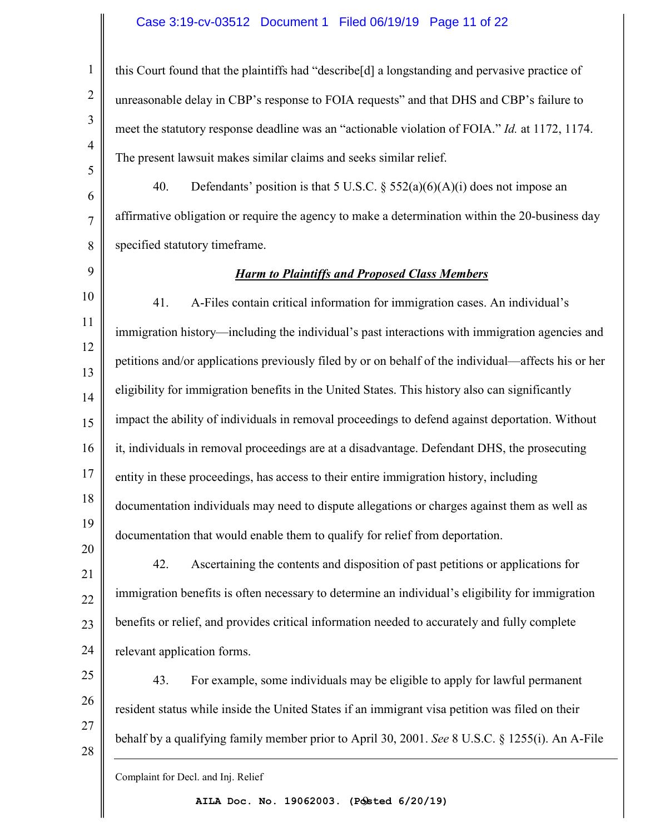### Case 3:19-cv-03512 Document 1 Filed 06/19/19 Page 11 of 22

this Court found that the plaintiffs had "describe[d] a longstanding and pervasive practice of unreasonable delay in CBP's response to FOIA requests" and that DHS and CBP's failure to meet the statutory response deadline was an "actionable violation of FOIA." *Id.* at 1172, 1174. The present lawsuit makes similar claims and seeks similar relief.

6 7 8 40. Defendants' position is that 5 U.S.C.  $\S$  552(a)(6)(A)(i) does not impose an affirmative obligation or require the agency to make a determination within the 20-business day specified statutory timeframe.

9

1

2

3

4

5

### *Harm to Plaintiffs and Proposed Class Members*

10 11 12 13 14 15 16 17 18 19 20 41. A-Files contain critical information for immigration cases. An individual's immigration history—including the individual's past interactions with immigration agencies and petitions and/or applications previously filed by or on behalf of the individual—affects his or her eligibility for immigration benefits in the United States. This history also can significantly impact the ability of individuals in removal proceedings to defend against deportation. Without it, individuals in removal proceedings are at a disadvantage. Defendant DHS, the prosecuting entity in these proceedings, has access to their entire immigration history, including documentation individuals may need to dispute allegations or charges against them as well as documentation that would enable them to qualify for relief from deportation.

21 22 23 24 42. Ascertaining the contents and disposition of past petitions or applications for immigration benefits is often necessary to determine an individual's eligibility for immigration benefits or relief, and provides critical information needed to accurately and fully complete relevant application forms.

25 26 27 28 43. For example, some individuals may be eligible to apply for lawful permanent resident status while inside the United States if an immigrant visa petition was filed on their behalf by a qualifying family member prior to April 30, 2001. *See* 8 U.S.C. § 1255(i). An A-File

Complaint for Decl. and Inj. Relief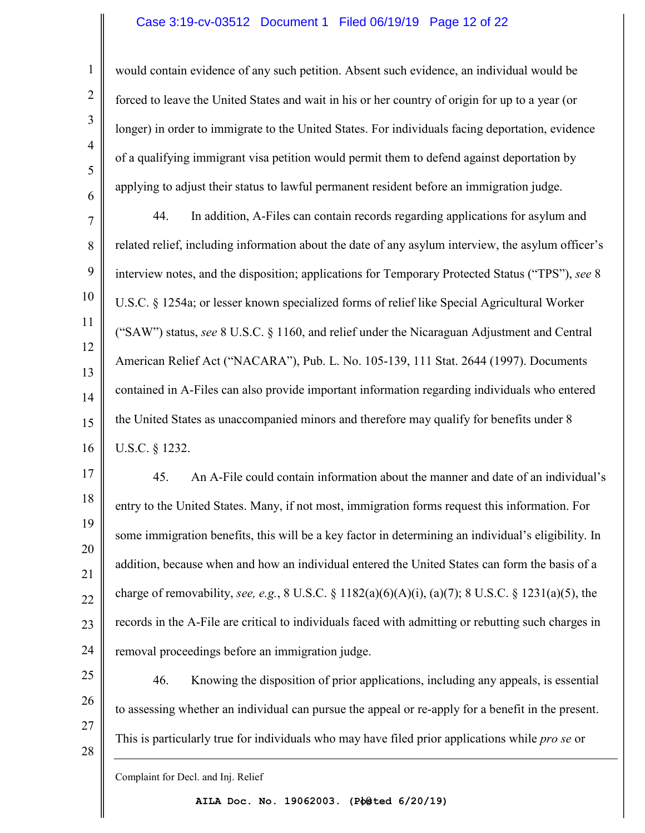#### Case 3:19-cv-03512 Document 1 Filed 06/19/19 Page 12 of 22

would contain evidence of any such petition. Absent such evidence, an individual would be forced to leave the United States and wait in his or her country of origin for up to a year (or longer) in order to immigrate to the United States. For individuals facing deportation, evidence of a qualifying immigrant visa petition would permit them to defend against deportation by applying to adjust their status to lawful permanent resident before an immigration judge.

7 8 9 10 11 12 13 14 15 16 44. In addition, A-Files can contain records regarding applications for asylum and related relief, including information about the date of any asylum interview, the asylum officer's interview notes, and the disposition; applications for Temporary Protected Status ("TPS"), *see* 8 U.S.C. § 1254a; or lesser known specialized forms of relief like Special Agricultural Worker ("SAW") status, *see* 8 U.S.C. § 1160, and relief under the Nicaraguan Adjustment and Central American Relief Act ("NACARA"), Pub. L. No. 105-139, 111 Stat. 2644 (1997). Documents contained in A-Files can also provide important information regarding individuals who entered the United States as unaccompanied minors and therefore may qualify for benefits under 8 U.S.C. § 1232.

17 18 19 20 21 22 23 24 45. An A-File could contain information about the manner and date of an individual's entry to the United States. Many, if not most, immigration forms request this information. For some immigration benefits, this will be a key factor in determining an individual's eligibility. In addition, because when and how an individual entered the United States can form the basis of a charge of removability, *see, e.g.*, 8 U.S.C. § 1182(a)(6)(A)(i), (a)(7); 8 U.S.C. § 1231(a)(5), the records in the A-File are critical to individuals faced with admitting or rebutting such charges in removal proceedings before an immigration judge.

25 26 27 28 46. Knowing the disposition of prior applications, including any appeals, is essential to assessing whether an individual can pursue the appeal or re-apply for a benefit in the present. This is particularly true for individuals who may have filed prior applications while *pro se* or

1

2

3

4

5

6

Complaint for Decl. and Inj. Relief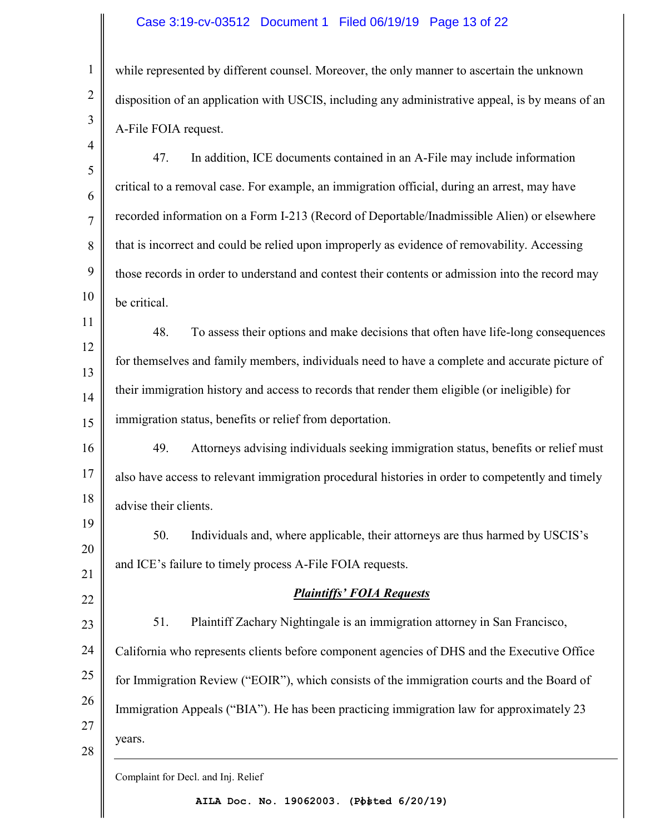### Case 3:19-cv-03512 Document 1 Filed 06/19/19 Page 13 of 22

while represented by different counsel. Moreover, the only manner to ascertain the unknown disposition of an application with USCIS, including any administrative appeal, is by means of an A-File FOIA request.

- 5 6 7 8 9 10 47. In addition, ICE documents contained in an A-File may include information critical to a removal case. For example, an immigration official, during an arrest, may have recorded information on a Form I-213 (Record of Deportable/Inadmissible Alien) or elsewhere that is incorrect and could be relied upon improperly as evidence of removability. Accessing those records in order to understand and contest their contents or admission into the record may be critical.
- 11 12 13 14 15 48. To assess their options and make decisions that often have life-long consequences for themselves and family members, individuals need to have a complete and accurate picture of their immigration history and access to records that render them eligible (or ineligible) for immigration status, benefits or relief from deportation.
- 16 17 18 49. Attorneys advising individuals seeking immigration status, benefits or relief must also have access to relevant immigration procedural histories in order to competently and timely advise their clients.
- 19 20 21 50. Individuals and, where applicable, their attorneys are thus harmed by USCIS's and ICE's failure to timely process A-File FOIA requests.
- 22

1

2

3

4

*Plaintiffs' FOIA Requests*

23 24 25 26 27 51. Plaintiff Zachary Nightingale is an immigration attorney in San Francisco, California who represents clients before component agencies of DHS and the Executive Office for Immigration Review ("EOIR"), which consists of the immigration courts and the Board of Immigration Appeals ("BIA"). He has been practicing immigration law for approximately 23 years.

28

Complaint for Decl. and Inj. Relief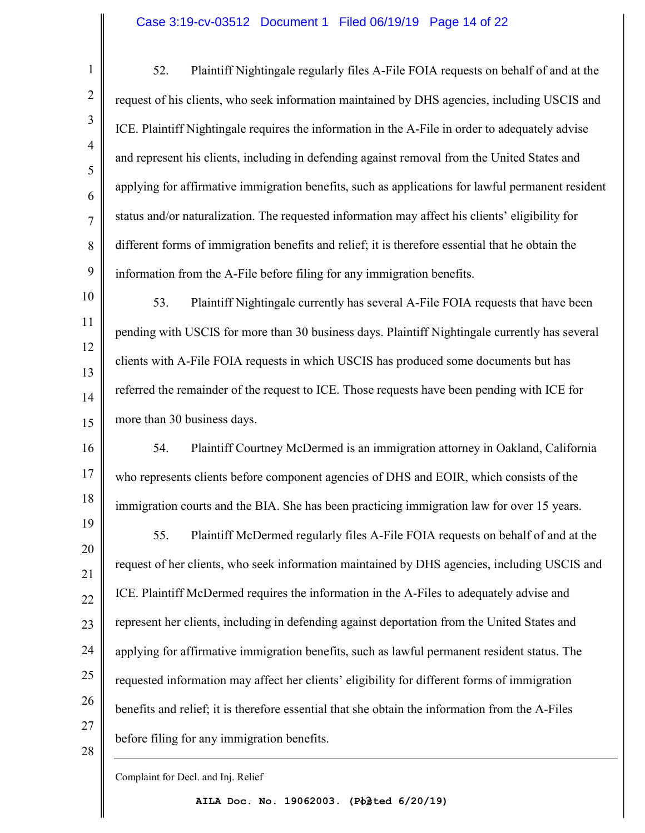#### Case 3:19-cv-03512 Document 1 Filed 06/19/19 Page 14 of 22

52. Plaintiff Nightingale regularly files A-File FOIA requests on behalf of and at the request of his clients, who seek information maintained by DHS agencies, including USCIS and ICE. Plaintiff Nightingale requires the information in the A-File in order to adequately advise and represent his clients, including in defending against removal from the United States and applying for affirmative immigration benefits, such as applications for lawful permanent resident status and/or naturalization. The requested information may affect his clients' eligibility for different forms of immigration benefits and relief; it is therefore essential that he obtain the information from the A-File before filing for any immigration benefits.

10 11 12 13 14 15 53. Plaintiff Nightingale currently has several A-File FOIA requests that have been pending with USCIS for more than 30 business days. Plaintiff Nightingale currently has several clients with A-File FOIA requests in which USCIS has produced some documents but has referred the remainder of the request to ICE. Those requests have been pending with ICE for more than 30 business days.

16 17 18 54. Plaintiff Courtney McDermed is an immigration attorney in Oakland, California who represents clients before component agencies of DHS and EOIR, which consists of the immigration courts and the BIA. She has been practicing immigration law for over 15 years.

19 20 21 22 23 24 25 26 27 28 55. Plaintiff McDermed regularly files A-File FOIA requests on behalf of and at the request of her clients, who seek information maintained by DHS agencies, including USCIS and ICE. Plaintiff McDermed requires the information in the A-Files to adequately advise and represent her clients, including in defending against deportation from the United States and applying for affirmative immigration benefits, such as lawful permanent resident status. The requested information may affect her clients' eligibility for different forms of immigration benefits and relief; it is therefore essential that she obtain the information from the A-Files before filing for any immigration benefits.

Complaint for Decl. and Inj. Relief

1

2

3

4

5

6

7

8

9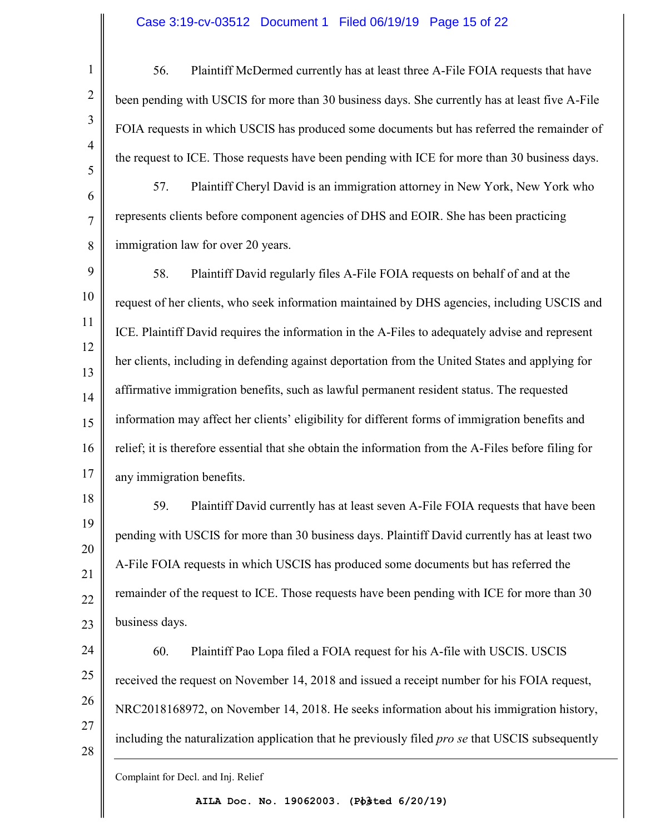## Case 3:19-cv-03512 Document 1 Filed 06/19/19 Page 15 of 22

1 2 3 4 5 6 7 8 9 10 11 12 13 14 15 56. Plaintiff McDermed currently has at least three A-File FOIA requests that have been pending with USCIS for more than 30 business days. She currently has at least five A-File FOIA requests in which USCIS has produced some documents but has referred the remainder of the request to ICE. Those requests have been pending with ICE for more than 30 business days. 57. Plaintiff Cheryl David is an immigration attorney in New York, New York who represents clients before component agencies of DHS and EOIR. She has been practicing immigration law for over 20 years. 58. Plaintiff David regularly files A-File FOIA requests on behalf of and at the request of her clients, who seek information maintained by DHS agencies, including USCIS and ICE. Plaintiff David requires the information in the A-Files to adequately advise and represent her clients, including in defending against deportation from the United States and applying for affirmative immigration benefits, such as lawful permanent resident status. The requested information may affect her clients' eligibility for different forms of immigration benefits and

16 17 relief; it is therefore essential that she obtain the information from the A-Files before filing for any immigration benefits.

18 19 20 21 22 23 59. Plaintiff David currently has at least seven A-File FOIA requests that have been pending with USCIS for more than 30 business days. Plaintiff David currently has at least two A-File FOIA requests in which USCIS has produced some documents but has referred the remainder of the request to ICE. Those requests have been pending with ICE for more than 30 business days.

24 25 26 27 28 60. Plaintiff Pao Lopa filed a FOIA request for his A-file with USCIS. USCIS received the request on November 14, 2018 and issued a receipt number for his FOIA request, NRC2018168972, on November 14, 2018. He seeks information about his immigration history, including the naturalization application that he previously filed *pro se* that USCIS subsequently

Complaint for Decl. and Inj. Relief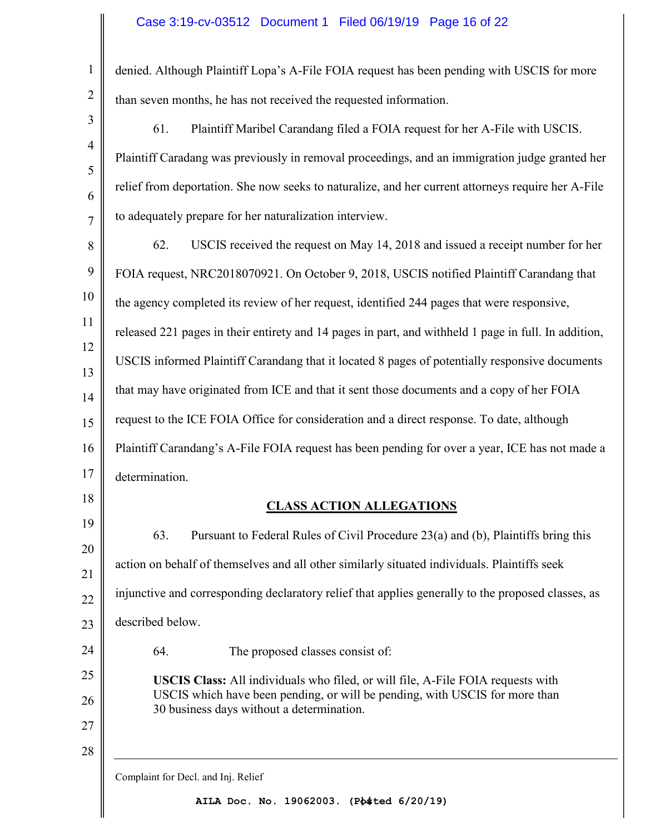# Case 3:19-cv-03512 Document 1 Filed 06/19/19 Page 16 of 22

| $\mathbf{1}$   | denied. Although Plaintiff Lopa's A-File FOIA request has been pending with USCIS for more                                                                            |
|----------------|-----------------------------------------------------------------------------------------------------------------------------------------------------------------------|
| $\overline{2}$ | than seven months, he has not received the requested information.                                                                                                     |
| 3              | Plaintiff Maribel Carandang filed a FOIA request for her A-File with USCIS.<br>61.                                                                                    |
| $\overline{4}$ | Plaintiff Caradang was previously in removal proceedings, and an immigration judge granted her                                                                        |
| 5<br>6         | relief from deportation. She now seeks to naturalize, and her current attorneys require her A-File                                                                    |
| $\overline{7}$ | to adequately prepare for her naturalization interview.                                                                                                               |
| 8              | 62.<br>USCIS received the request on May 14, 2018 and issued a receipt number for her                                                                                 |
| 9              | FOIA request, NRC2018070921. On October 9, 2018, USCIS notified Plaintiff Carandang that                                                                              |
| 10             | the agency completed its review of her request, identified 244 pages that were responsive,                                                                            |
| 11             | released 221 pages in their entirety and 14 pages in part, and withheld 1 page in full. In addition,                                                                  |
| 12             | USCIS informed Plaintiff Carandang that it located 8 pages of potentially responsive documents                                                                        |
| 13             | that may have originated from ICE and that it sent those documents and a copy of her FOIA                                                                             |
| 14<br>15       | request to the ICE FOIA Office for consideration and a direct response. To date, although                                                                             |
| 16             | Plaintiff Carandang's A-File FOIA request has been pending for over a year, ICE has not made a                                                                        |
| 17             | determination.                                                                                                                                                        |
| 18             | <b>CLASS ACTION ALLEGATIONS</b>                                                                                                                                       |
| 19             | Pursuant to Federal Rules of Civil Procedure 23(a) and (b), Plaintiffs bring this<br>63.                                                                              |
| 20             | action on behalf of themselves and all other similarly situated individuals. Plaintiffs seek                                                                          |
| 21             | injunctive and corresponding declaratory relief that applies generally to the proposed classes, as                                                                    |
| 22             | described below.                                                                                                                                                      |
| 23<br>24       | The proposed classes consist of:<br>64.                                                                                                                               |
| 25             |                                                                                                                                                                       |
| 26             | <b>USCIS Class:</b> All individuals who filed, or will file, A-File FOIA requests with<br>USCIS which have been pending, or will be pending, with USCIS for more than |
| 27             | 30 business days without a determination.                                                                                                                             |
| 28             |                                                                                                                                                                       |
|                | Complaint for Decl. and Inj. Relief                                                                                                                                   |

14 **AILA Doc. No. 19062003. (Posted 6/20/19)**

II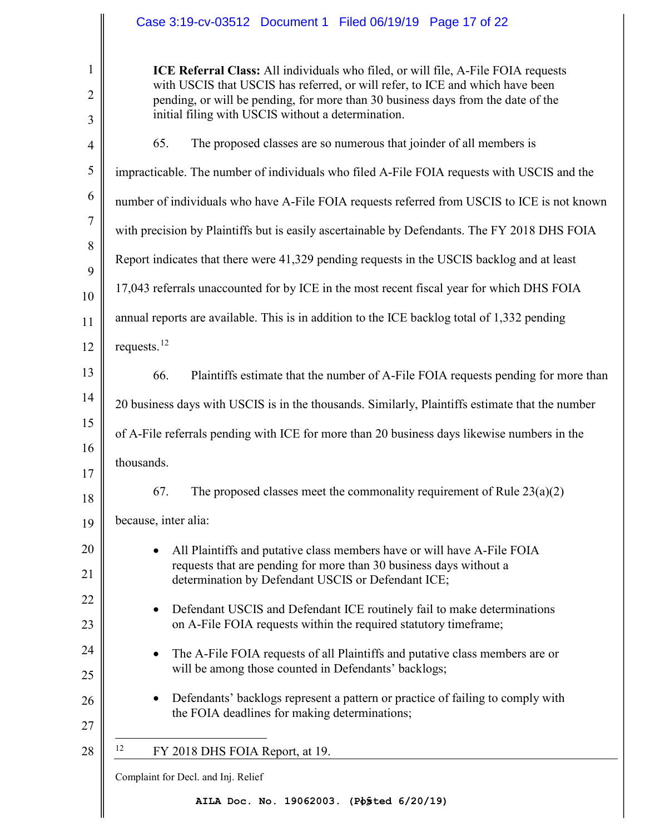<span id="page-16-0"></span>

|                        | Case 3:19-cv-03512 Document 1 Filed 06/19/19 Page 17 of 22                                                                                                                                                                                                                                                   |
|------------------------|--------------------------------------------------------------------------------------------------------------------------------------------------------------------------------------------------------------------------------------------------------------------------------------------------------------|
| $\mathbf{1}$<br>2<br>3 | ICE Referral Class: All individuals who filed, or will file, A-File FOIA requests<br>with USCIS that USCIS has referred, or will refer, to ICE and which have been<br>pending, or will be pending, for more than 30 business days from the date of the<br>initial filing with USCIS without a determination. |
| $\overline{4}$         | 65.<br>The proposed classes are so numerous that joinder of all members is                                                                                                                                                                                                                                   |
| 5                      | impracticable. The number of individuals who filed A-File FOIA requests with USCIS and the                                                                                                                                                                                                                   |
| 6                      | number of individuals who have A-File FOIA requests referred from USCIS to ICE is not known                                                                                                                                                                                                                  |
| 7                      | with precision by Plaintiffs but is easily ascertainable by Defendants. The FY 2018 DHS FOIA                                                                                                                                                                                                                 |
| 8                      | Report indicates that there were 41,329 pending requests in the USCIS backlog and at least                                                                                                                                                                                                                   |
| 9<br>10                | 17,043 referrals unaccounted for by ICE in the most recent fiscal year for which DHS FOIA                                                                                                                                                                                                                    |
| 11                     | annual reports are available. This is in addition to the ICE backlog total of 1,332 pending                                                                                                                                                                                                                  |
| 12                     | requests. <sup>12</sup>                                                                                                                                                                                                                                                                                      |
| 13                     | 66.<br>Plaintiffs estimate that the number of A-File FOIA requests pending for more than                                                                                                                                                                                                                     |
| 14                     | 20 business days with USCIS is in the thousands. Similarly, Plaintiffs estimate that the number                                                                                                                                                                                                              |
| 15                     | of A-File referrals pending with ICE for more than 20 business days likewise numbers in the                                                                                                                                                                                                                  |
| 16<br>17               | thousands.                                                                                                                                                                                                                                                                                                   |
| 18                     | The proposed classes meet the commonality requirement of Rule $23(a)(2)$<br>67.                                                                                                                                                                                                                              |
| 19                     | because, inter alia:                                                                                                                                                                                                                                                                                         |
| 20<br>21               | All Plaintiffs and putative class members have or will have A-File FOIA<br>requests that are pending for more than 30 business days without a<br>determination by Defendant USCIS or Defendant ICE;                                                                                                          |
| 22<br>23               | Defendant USCIS and Defendant ICE routinely fail to make determinations<br>on A-File FOIA requests within the required statutory timeframe;                                                                                                                                                                  |
| 24<br>25               | The A-File FOIA requests of all Plaintiffs and putative class members are or<br>will be among those counted in Defendants' backlogs;                                                                                                                                                                         |
| 26<br>27               | Defendants' backlogs represent a pattern or practice of failing to comply with<br>the FOIA deadlines for making determinations;                                                                                                                                                                              |
| 28                     | 12<br>FY 2018 DHS FOIA Report, at 19.                                                                                                                                                                                                                                                                        |
|                        | Complaint for Decl. and Inj. Relief                                                                                                                                                                                                                                                                          |
|                        | AILA Doc. No. 19062003. (Posted 6/20/19)                                                                                                                                                                                                                                                                     |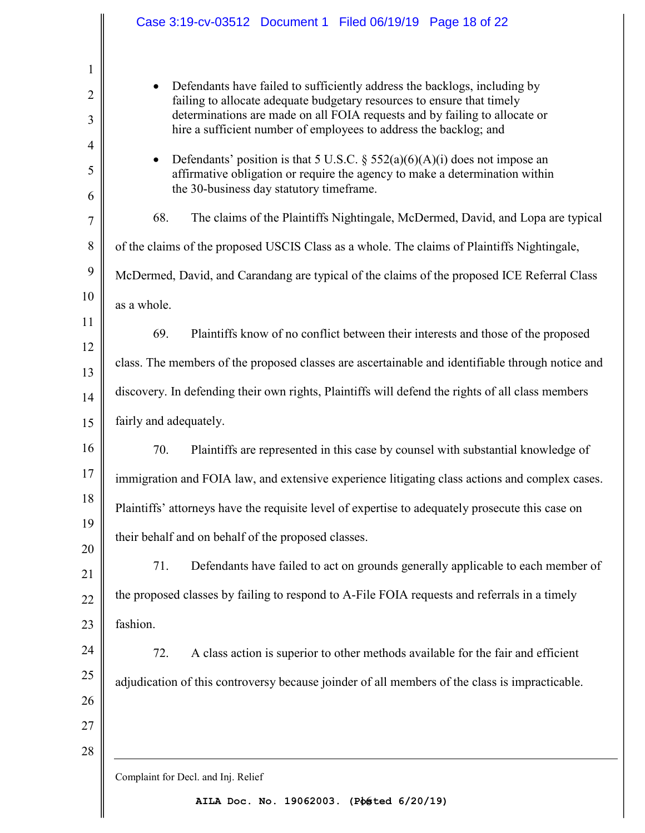| Case 3:19-cv-03512 Document 1 Filed 06/19/19 Page 18 of 22                                                                                                                                                                                                                                                          |
|---------------------------------------------------------------------------------------------------------------------------------------------------------------------------------------------------------------------------------------------------------------------------------------------------------------------|
|                                                                                                                                                                                                                                                                                                                     |
| Defendants have failed to sufficiently address the backlogs, including by<br>$\bullet$<br>failing to allocate adequate budgetary resources to ensure that timely<br>determinations are made on all FOIA requests and by failing to allocate or<br>hire a sufficient number of employees to address the backlog; and |
| Defendants' position is that 5 U.S.C. § 552(a)(6)(A)(i) does not impose an<br>$\bullet$<br>affirmative obligation or require the agency to make a determination within<br>the 30-business day statutory timeframe.                                                                                                  |
| 68.<br>The claims of the Plaintiffs Nightingale, McDermed, David, and Lopa are typical                                                                                                                                                                                                                              |
| of the claims of the proposed USCIS Class as a whole. The claims of Plaintiffs Nightingale,                                                                                                                                                                                                                         |
| McDermed, David, and Carandang are typical of the claims of the proposed ICE Referral Class                                                                                                                                                                                                                         |
| as a whole.                                                                                                                                                                                                                                                                                                         |
| 69.<br>Plaintiffs know of no conflict between their interests and those of the proposed                                                                                                                                                                                                                             |
| class. The members of the proposed classes are ascertainable and identifiable through notice and                                                                                                                                                                                                                    |
| discovery. In defending their own rights, Plaintiffs will defend the rights of all class members                                                                                                                                                                                                                    |
| fairly and adequately.                                                                                                                                                                                                                                                                                              |
| 70.<br>Plaintiffs are represented in this case by counsel with substantial knowledge of                                                                                                                                                                                                                             |
| immigration and FOIA law, and extensive experience litigating class actions and complex cases.                                                                                                                                                                                                                      |
| Plaintiffs' attorneys have the requisite level of expertise to adequately prosecute this case on                                                                                                                                                                                                                    |
| their behalf and on behalf of the proposed classes.                                                                                                                                                                                                                                                                 |
|                                                                                                                                                                                                                                                                                                                     |
| 71.<br>Defendants have failed to act on grounds generally applicable to each member of                                                                                                                                                                                                                              |
| the proposed classes by failing to respond to A-File FOIA requests and referrals in a timely                                                                                                                                                                                                                        |
| fashion.                                                                                                                                                                                                                                                                                                            |
| A class action is superior to other methods available for the fair and efficient<br>72.                                                                                                                                                                                                                             |
| adjudication of this controversy because joinder of all members of the class is impracticable.                                                                                                                                                                                                                      |
|                                                                                                                                                                                                                                                                                                                     |
|                                                                                                                                                                                                                                                                                                                     |
| Complaint for Decl. and Inj. Relief                                                                                                                                                                                                                                                                                 |

16 **AILA Doc. No. 19062003. (Posted 6/20/19)**

 $\mathbb{I}$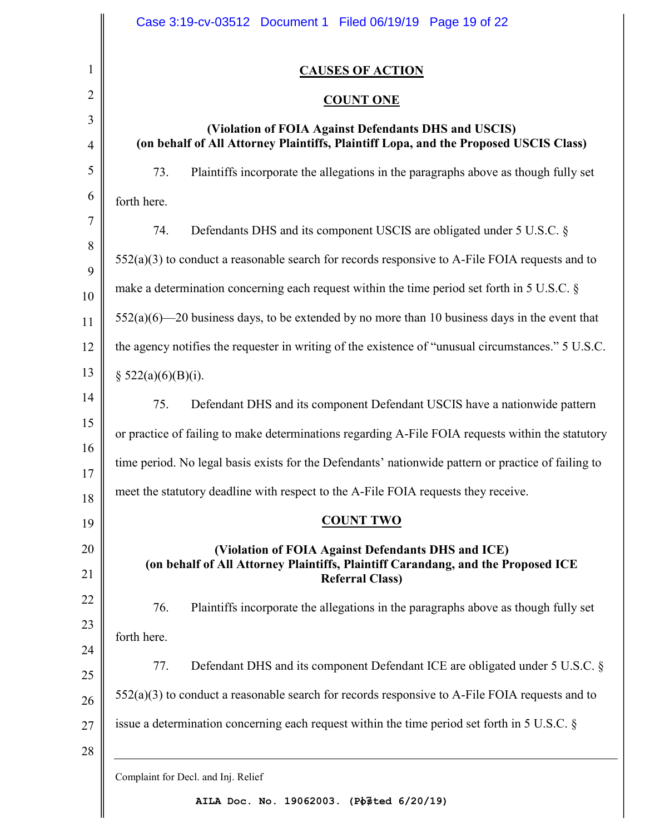| <b>CAUSES OF ACTION</b>                                                                                                                                          |
|------------------------------------------------------------------------------------------------------------------------------------------------------------------|
| <b>COUNT ONE</b>                                                                                                                                                 |
| (Violation of FOIA Against Defendants DHS and USCIS)<br>(on behalf of All Attorney Plaintiffs, Plaintiff Lopa, and the Proposed USCIS Class)                     |
| 73.<br>Plaintiffs incorporate the allegations in the paragraphs above as though fully set                                                                        |
| forth here.                                                                                                                                                      |
| Defendants DHS and its component USCIS are obligated under 5 U.S.C. §<br>74.                                                                                     |
| $552(a)(3)$ to conduct a reasonable search for records responsive to A-File FOIA requests and to                                                                 |
| make a determination concerning each request within the time period set forth in $5 \text{ U.S.C. }$                                                             |
| $552(a)(6)$ —20 business days, to be extended by no more than 10 business days in the event that                                                                 |
| the agency notifies the requester in writing of the existence of "unusual circumstances." 5 U.S.C.                                                               |
| § $522(a)(6)(B)(i)$ .                                                                                                                                            |
| Defendant DHS and its component Defendant USCIS have a nationwide pattern<br>75.                                                                                 |
| or practice of failing to make determinations regarding A-File FOIA requests within the statutory                                                                |
| time period. No legal basis exists for the Defendants' nationwide pattern or practice of failing to                                                              |
| meet the statutory deadline with respect to the A-File FOIA requests they receive.                                                                               |
| <b>COUNT TWO</b>                                                                                                                                                 |
| (Violation of FOIA Against Defendants DHS and ICE)<br>(on behalf of All Attorney Plaintiffs, Plaintiff Carandang, and the Proposed ICE<br><b>Referral Class)</b> |
| 76.<br>Plaintiffs incorporate the allegations in the paragraphs above as though fully set                                                                        |
| forth here.                                                                                                                                                      |
| 77.<br>Defendant DHS and its component Defendant ICE are obligated under 5 U.S.C. §                                                                              |
| 552(a)(3) to conduct a reasonable search for records responsive to A-File FOIA requests and to                                                                   |
| issue a determination concerning each request within the time period set forth in 5 U.S.C. §                                                                     |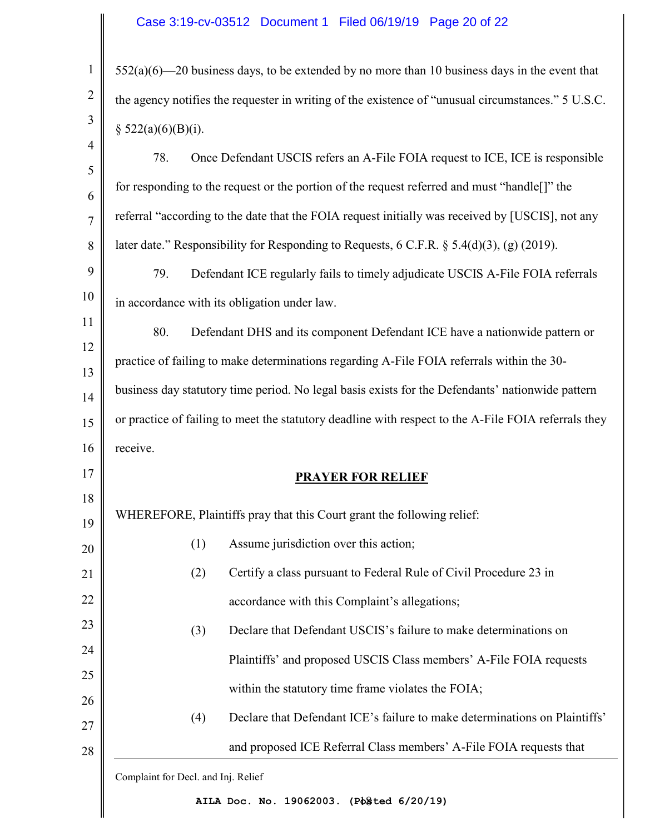# Case 3:19-cv-03512 Document 1 Filed 06/19/19 Page 20 of 22

| $552(a)(6)$ —20 business days, to be extended by no more than 10 business days in the event that         |
|----------------------------------------------------------------------------------------------------------|
| the agency notifies the requester in writing of the existence of "unusual circumstances." 5 U.S.C.       |
| $\S$ 522(a)(6)(B)(i).                                                                                    |
| Once Defendant USCIS refers an A-File FOIA request to ICE, ICE is responsible                            |
| for responding to the request or the portion of the request referred and must "handle <sup>[]"</sup> the |
| referral "according to the date that the FOIA request initially was received by [USCIS], not any         |
| later date." Responsibility for Responding to Requests, $6$ C.F.R. $\S$ 5.4(d)(3), (g) (2019).           |
| Defendant ICE regularly fails to timely adjudicate USCIS A-File FOIA referrals                           |
| in accordance with its obligation under law.                                                             |
| Defendant DHS and its component Defendant ICE have a nationwide pattern or                               |
| practice of failing to make determinations regarding A-File FOIA referrals within the 30-                |
| business day statutory time period. No legal basis exists for the Defendants' nationwide pattern         |
| or practice of failing to meet the statutory deadline with respect to the A-File FOIA referrals they     |
|                                                                                                          |
| <b>PRAYER FOR RELIEF</b>                                                                                 |
|                                                                                                          |
| WHEREFORE, Plaintiffs pray that this Court grant the following relief:                                   |
| Assume jurisdiction over this action;<br>(1)                                                             |
| (2)<br>Certify a class pursuant to Federal Rule of Civil Procedure 23 in                                 |
| accordance with this Complaint's allegations;                                                            |
| Declare that Defendant USCIS's failure to make determinations on<br>(3)                                  |
| Plaintiffs' and proposed USCIS Class members' A-File FOIA requests                                       |
| within the statutory time frame violates the FOIA;                                                       |
| Declare that Defendant ICE's failure to make determinations on Plaintiffs'<br>(4)                        |
|                                                                                                          |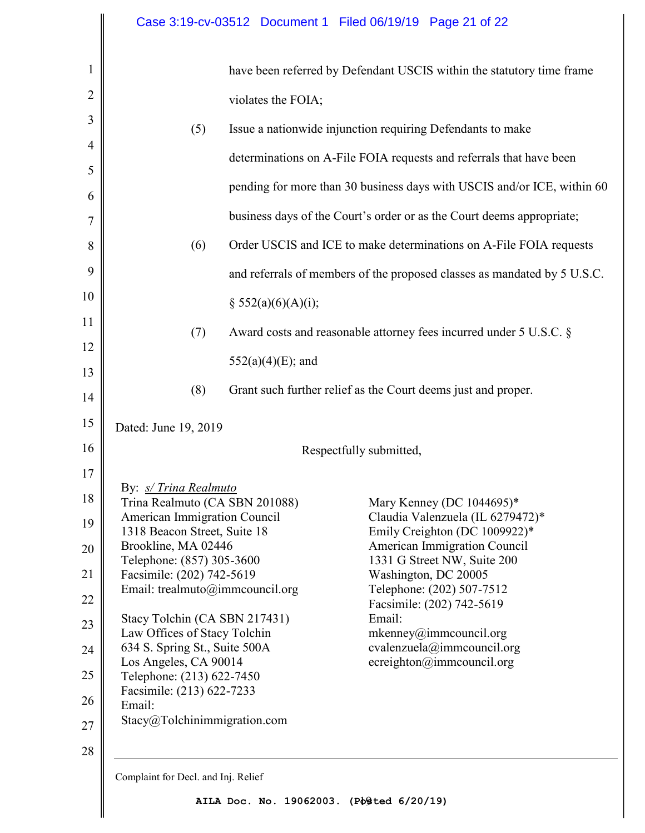| 1              |                                                               | have been referred by Defendant USCIS within the statutory time frame    |  |
|----------------|---------------------------------------------------------------|--------------------------------------------------------------------------|--|
| $\overline{2}$ | violates the FOIA;                                            |                                                                          |  |
| 3              | (5)                                                           | Issue a nationwide injunction requiring Defendants to make               |  |
| $\overline{4}$ |                                                               | determinations on A-File FOIA requests and referrals that have been      |  |
| 5              |                                                               | pending for more than 30 business days with USCIS and/or ICE, within 60  |  |
| 6              |                                                               |                                                                          |  |
| 7              |                                                               | business days of the Court's order or as the Court deems appropriate;    |  |
| 8              | (6)                                                           | Order USCIS and ICE to make determinations on A-File FOIA requests       |  |
| 9              |                                                               | and referrals of members of the proposed classes as mandated by 5 U.S.C. |  |
| 10             | § $552(a)(6)(A)(i);$                                          |                                                                          |  |
| 11             | (7)                                                           | Award costs and reasonable attorney fees incurred under 5 U.S.C. §       |  |
| 12             |                                                               |                                                                          |  |
| 13             | $552(a)(4)(E)$ ; and                                          |                                                                          |  |
| 14             | (8)                                                           | Grant such further relief as the Court deems just and proper.            |  |
| 15             | Dated: June 19, 2019                                          |                                                                          |  |
| 16             | Respectfully submitted,                                       |                                                                          |  |
| 17             |                                                               |                                                                          |  |
| 18             | By: s/ Trina Realmuto<br>Trina Realmuto (CA SBN 201088)       | Mary Kenney (DC 1044695)*                                                |  |
| 19             | American Immigration Council<br>1318 Beacon Street, Suite 18  | Claudia Valenzuela (IL 6279472)*<br>Emily Creighton (DC 1009922)*        |  |
| 20             | Brookline, MA 02446                                           | American Immigration Council                                             |  |
| 21             | Telephone: (857) 305-3600<br>Facsimile: (202) 742-5619        | 1331 G Street NW, Suite 200<br>Washington, DC 20005                      |  |
| 22             | Email: trealmuto@immcouncil.org                               | Telephone: (202) 507-7512<br>Facsimile: (202) 742-5619                   |  |
| 23             | Stacy Tolchin (CA SBN 217431)                                 | Email:                                                                   |  |
| 24             | Law Offices of Stacy Tolchin<br>634 S. Spring St., Suite 500A | mkenney@immcount1.org<br>cvalenzuela@immcouncil.org                      |  |
| 25             | Los Angeles, CA 90014                                         | ecreighton@immcouncil.org                                                |  |
|                | Telephone: (213) 622-7450<br>Facsimile: (213) 622-7233        |                                                                          |  |
| 26             | Email:<br>Stacy@Tolchinimmigration.com                        |                                                                          |  |
| 27             |                                                               |                                                                          |  |

28

Complaint for Decl. and Inj. Relief